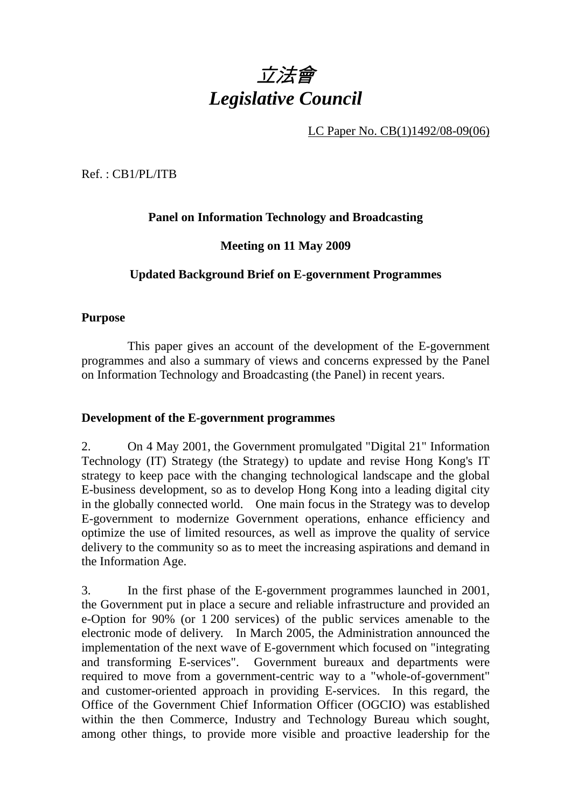

LC Paper No. CB(1)1492/08-09(06)

Ref. : CB1/PL/ITB

# **Panel on Information Technology and Broadcasting**

## **Meeting on 11 May 2009**

# **Updated Background Brief on E-government Programmes**

## **Purpose**

This paper gives an account of the development of the E-government programmes and also a summary of views and concerns expressed by the Panel on Information Technology and Broadcasting (the Panel) in recent years.

## **Development of the E-government programmes**

2. On 4 May 2001, the Government promulgated "Digital 21" Information Technology (IT) Strategy (the Strategy) to update and revise Hong Kong's IT strategy to keep pace with the changing technological landscape and the global E-business development, so as to develop Hong Kong into a leading digital city in the globally connected world. One main focus in the Strategy was to develop E-government to modernize Government operations, enhance efficiency and optimize the use of limited resources, as well as improve the quality of service delivery to the community so as to meet the increasing aspirations and demand in the Information Age.

3. In the first phase of the E-government programmes launched in 2001, the Government put in place a secure and reliable infrastructure and provided an e-Option for 90% (or 1 200 services) of the public services amenable to the electronic mode of delivery. In March 2005, the Administration announced the implementation of the next wave of E-government which focused on "integrating and transforming E-services". Government bureaux and departments were required to move from a government-centric way to a "whole-of-government" and customer-oriented approach in providing E-services. In this regard, the Office of the Government Chief Information Officer (OGCIO) was established within the then Commerce, Industry and Technology Bureau which sought, among other things, to provide more visible and proactive leadership for the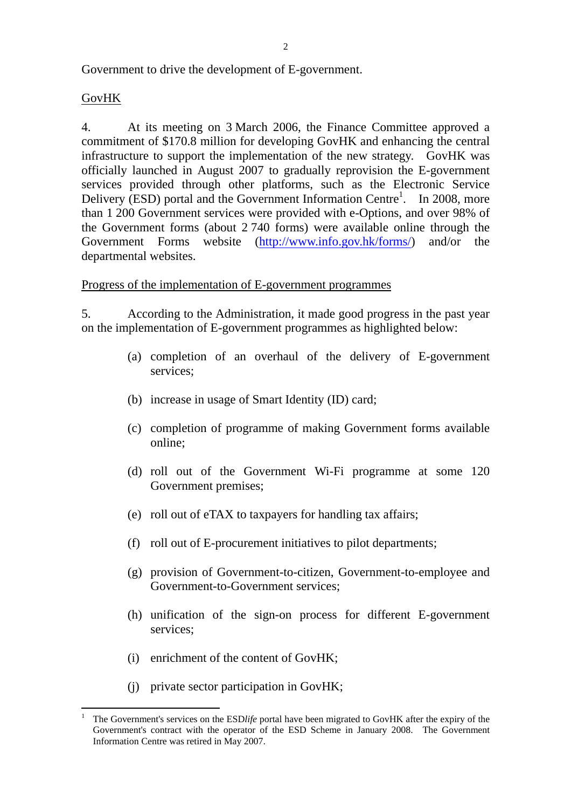Government to drive the development of E-government.

## GovHK

4. At its meeting on 3 March 2006, the Finance Committee approved a commitment of \$170.8 million for developing GovHK and enhancing the central infrastructure to support the implementation of the new strategy. GovHK was officially launched in August 2007 to gradually reprovision the E-government services provided through other platforms, such as the Electronic Service Delivery (ESD) portal and the Government Information Centre<sup>1</sup>. In 2008, more than 1 200 Government services were provided with e-Options, and over 98% of the Government forms (about 2 740 forms) were available online through the Government Forms website (http://www.info.gov.hk/forms/) and/or the departmental websites.

Progress of the implementation of E-government programmes

5. According to the Administration, it made good progress in the past year on the implementation of E-government programmes as highlighted below:

- (a) completion of an overhaul of the delivery of E-government services;
- (b) increase in usage of Smart Identity (ID) card;
- (c) completion of programme of making Government forms available online;
- (d) roll out of the Government Wi-Fi programme at some 120 Government premises;
- (e) roll out of eTAX to taxpayers for handling tax affairs;
- (f) roll out of E-procurement initiatives to pilot departments;
- (g) provision of Government-to-citizen, Government-to-employee and Government-to-Government services;
- (h) unification of the sign-on process for different E-government services<sup>.</sup>
- (i) enrichment of the content of GovHK;
- (j) private sector participation in GovHK;

 $\frac{1}{1}$  The Government's services on the ESD*life* portal have been migrated to GovHK after the expiry of the Government's contract with the operator of the ESD Scheme in January 2008. The Government Information Centre was retired in May 2007.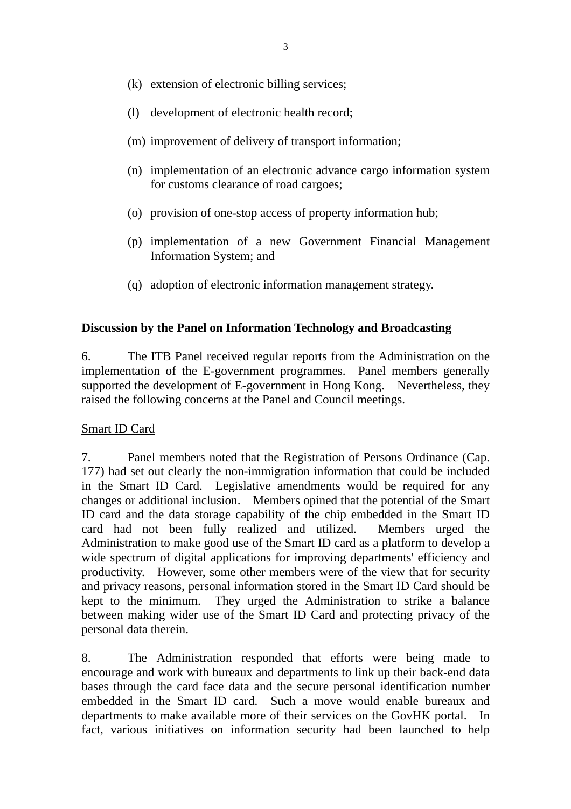- (k) extension of electronic billing services;
- (l) development of electronic health record;
- (m) improvement of delivery of transport information;
- (n) implementation of an electronic advance cargo information system for customs clearance of road cargoes;
- (o) provision of one-stop access of property information hub;
- (p) implementation of a new Government Financial Management Information System; and
- (q) adoption of electronic information management strategy.

## **Discussion by the Panel on Information Technology and Broadcasting**

6. The ITB Panel received regular reports from the Administration on the implementation of the E-government programmes. Panel members generally supported the development of E-government in Hong Kong. Nevertheless, they raised the following concerns at the Panel and Council meetings.

## Smart ID Card

7. Panel members noted that the Registration of Persons Ordinance (Cap. 177) had set out clearly the non-immigration information that could be included in the Smart ID Card. Legislative amendments would be required for any changes or additional inclusion. Members opined that the potential of the Smart ID card and the data storage capability of the chip embedded in the Smart ID card had not been fully realized and utilized. Members urged the Administration to make good use of the Smart ID card as a platform to develop a wide spectrum of digital applications for improving departments' efficiency and productivity. However, some other members were of the view that for security and privacy reasons, personal information stored in the Smart ID Card should be kept to the minimum. They urged the Administration to strike a balance between making wider use of the Smart ID Card and protecting privacy of the personal data therein.

8. The Administration responded that efforts were being made to encourage and work with bureaux and departments to link up their back-end data bases through the card face data and the secure personal identification number embedded in the Smart ID card. Such a move would enable bureaux and departments to make available more of their services on the GovHK portal. In fact, various initiatives on information security had been launched to help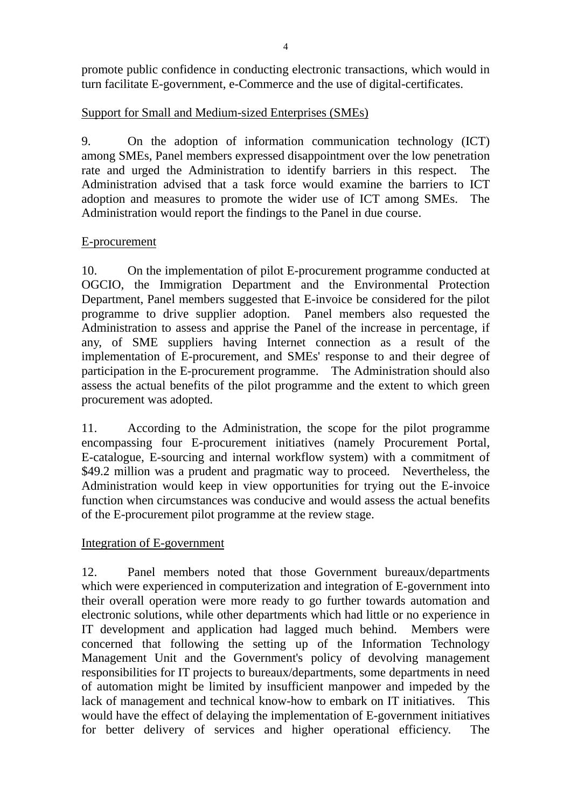promote public confidence in conducting electronic transactions, which would in turn facilitate E-government, e-Commerce and the use of digital-certificates.

# Support for Small and Medium-sized Enterprises (SMEs)

9. On the adoption of information communication technology (ICT) among SMEs, Panel members expressed disappointment over the low penetration rate and urged the Administration to identify barriers in this respect. The Administration advised that a task force would examine the barriers to ICT adoption and measures to promote the wider use of ICT among SMEs. The Administration would report the findings to the Panel in due course.

# E-procurement

10. On the implementation of pilot E-procurement programme conducted at OGCIO, the Immigration Department and the Environmental Protection Department, Panel members suggested that E-invoice be considered for the pilot programme to drive supplier adoption. Panel members also requested the Administration to assess and apprise the Panel of the increase in percentage, if any, of SME suppliers having Internet connection as a result of the implementation of E-procurement, and SMEs' response to and their degree of participation in the E-procurement programme. The Administration should also assess the actual benefits of the pilot programme and the extent to which green procurement was adopted.

11. According to the Administration, the scope for the pilot programme encompassing four E-procurement initiatives (namely Procurement Portal, E-catalogue, E-sourcing and internal workflow system) with a commitment of \$49.2 million was a prudent and pragmatic way to proceed. Nevertheless, the Administration would keep in view opportunities for trying out the E-invoice function when circumstances was conducive and would assess the actual benefits of the E-procurement pilot programme at the review stage.

# Integration of E-government

12. Panel members noted that those Government bureaux/departments which were experienced in computerization and integration of E-government into their overall operation were more ready to go further towards automation and electronic solutions, while other departments which had little or no experience in IT development and application had lagged much behind. Members were concerned that following the setting up of the Information Technology Management Unit and the Government's policy of devolving management responsibilities for IT projects to bureaux/departments, some departments in need of automation might be limited by insufficient manpower and impeded by the lack of management and technical know-how to embark on IT initiatives. This would have the effect of delaying the implementation of E-government initiatives for better delivery of services and higher operational efficiency. The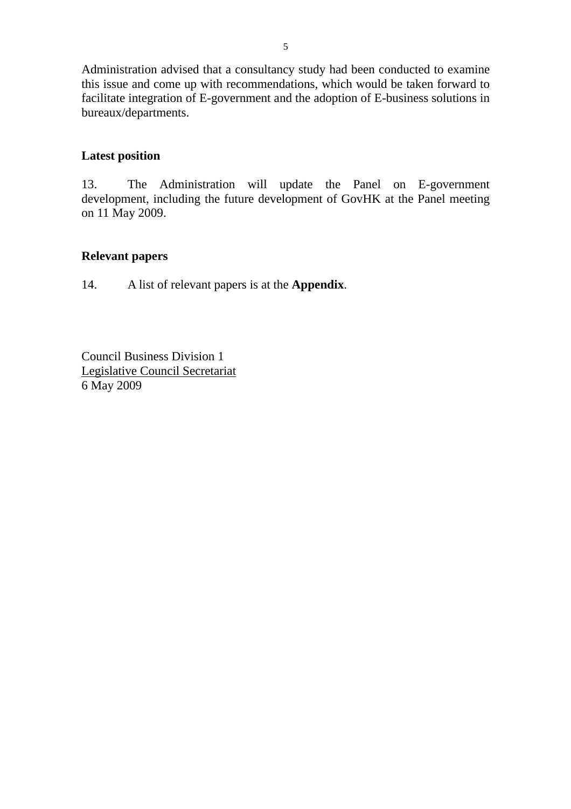Administration advised that a consultancy study had been conducted to examine this issue and come up with recommendations, which would be taken forward to facilitate integration of E-government and the adoption of E-business solutions in bureaux/departments.

## **Latest position**

13. The Administration will update the Panel on E-government development, including the future development of GovHK at the Panel meeting on 11 May 2009.

## **Relevant papers**

14. A list of relevant papers is at the **Appendix**.

Council Business Division 1 Legislative Council Secretariat 6 May 2009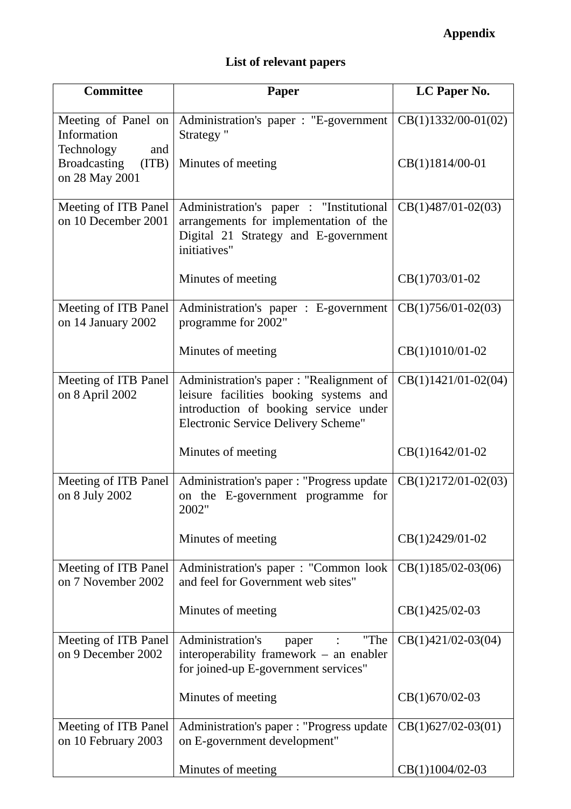# **Appendix**

# **List of relevant papers**

| <b>Committee</b>                                        | <b>Paper</b>                                                                                                                                                       | LC Paper No.          |
|---------------------------------------------------------|--------------------------------------------------------------------------------------------------------------------------------------------------------------------|-----------------------|
| Meeting of Panel on<br>Information<br>Technology<br>and | Administration's paper : "E-government<br>Strategy "                                                                                                               | $CB(1)1332/00-01(02)$ |
| <b>Broadcasting</b><br>(ITB)<br>on 28 May 2001          | Minutes of meeting                                                                                                                                                 | CB(1)1814/00-01       |
| Meeting of ITB Panel<br>on 10 December 2001             | Administration's paper : "Institutional<br>arrangements for implementation of the<br>Digital 21 Strategy and E-government<br>initiatives"                          | $CB(1)487/01-02(03)$  |
|                                                         | Minutes of meeting                                                                                                                                                 | CB(1)703/01-02        |
| Meeting of ITB Panel<br>on 14 January 2002              | Administration's paper : E-government<br>programme for 2002"                                                                                                       | $CB(1)756/01-02(03)$  |
|                                                         | Minutes of meeting                                                                                                                                                 | CB(1)1010/01-02       |
| Meeting of ITB Panel<br>on 8 April 2002                 | Administration's paper : "Realignment of<br>leisure facilities booking systems and<br>introduction of booking service under<br>Electronic Service Delivery Scheme" | $CB(1)1421/01-02(04)$ |
|                                                         | Minutes of meeting                                                                                                                                                 | $CB(1)1642/01-02$     |
| Meeting of ITB Panel<br>on 8 July 2002                  | Administration's paper : "Progress update<br>on the E-government programme for<br>2002"                                                                            | CB(1)2172/01-02(03)   |
|                                                         | Minutes of meeting                                                                                                                                                 | CB(1)2429/01-02       |
| Meeting of ITB Panel<br>on 7 November 2002              | Administration's paper : "Common look<br>and feel for Government web sites"                                                                                        | $CB(1)185/02-03(06)$  |
|                                                         | Minutes of meeting                                                                                                                                                 | CB(1)425/02-03        |
| Meeting of ITB Panel<br>on 9 December 2002              | Administration's<br>"The<br>paper<br>interoperability framework – an enabler<br>for joined-up E-government services"                                               | $CB(1)421/02-03(04)$  |
|                                                         | Minutes of meeting                                                                                                                                                 | CB(1)670/02-03        |
| Meeting of ITB Panel<br>on 10 February 2003             | Administration's paper : "Progress update<br>on E-government development"                                                                                          | $CB(1)627/02-03(01)$  |
|                                                         | Minutes of meeting                                                                                                                                                 | CB(1)1004/02-03       |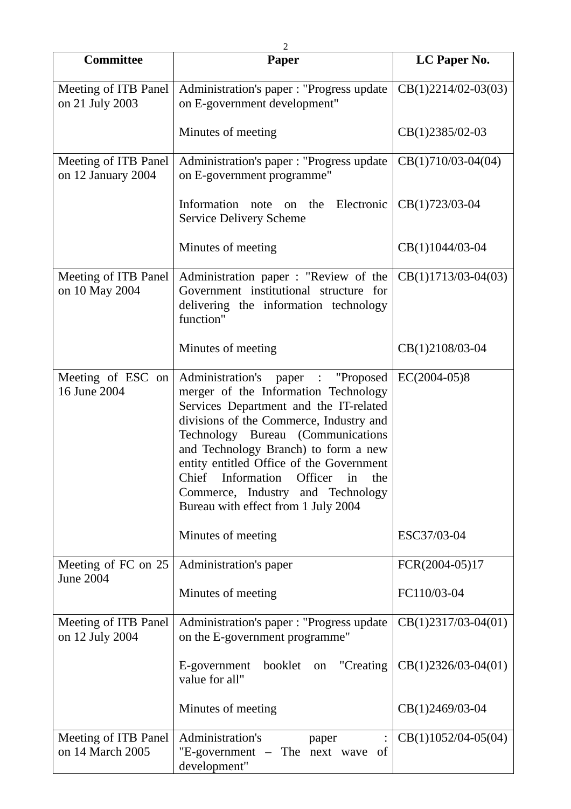| <b>Committee</b>                           | Paper                                                                                                                                                                                                                                                                                                                                                                                                    | LC Paper No.          |
|--------------------------------------------|----------------------------------------------------------------------------------------------------------------------------------------------------------------------------------------------------------------------------------------------------------------------------------------------------------------------------------------------------------------------------------------------------------|-----------------------|
| Meeting of ITB Panel<br>on 21 July 2003    | Administration's paper : "Progress update<br>on E-government development"                                                                                                                                                                                                                                                                                                                                | $CB(1)2214/02-03(03)$ |
|                                            | Minutes of meeting                                                                                                                                                                                                                                                                                                                                                                                       | CB(1)2385/02-03       |
| Meeting of ITB Panel<br>on 12 January 2004 | Administration's paper : "Progress update<br>on E-government programme"                                                                                                                                                                                                                                                                                                                                  | $CB(1)710/03-04(04)$  |
|                                            | Information note on the Electronic<br><b>Service Delivery Scheme</b>                                                                                                                                                                                                                                                                                                                                     | CB(1)723/03-04        |
|                                            | Minutes of meeting                                                                                                                                                                                                                                                                                                                                                                                       | CB(1)1044/03-04       |
| Meeting of ITB Panel<br>on 10 May 2004     | Administration paper : "Review of the $\vert$ CB(1)1713/03-04(03)<br>Government institutional structure for<br>delivering the information technology<br>function"                                                                                                                                                                                                                                        |                       |
|                                            | Minutes of meeting                                                                                                                                                                                                                                                                                                                                                                                       | CB(1)2108/03-04       |
| Meeting of ESC on<br>16 June 2004          | Administration's paper : "Proposed<br>merger of the Information Technology<br>Services Department and the IT-related<br>divisions of the Commerce, Industry and<br>Technology Bureau (Communications<br>and Technology Branch) to form a new<br>entity entitled Office of the Government<br>Chief Information Officer in the<br>Commerce, Industry and Technology<br>Bureau with effect from 1 July 2004 | $EC(2004-05)8$        |
|                                            | Minutes of meeting                                                                                                                                                                                                                                                                                                                                                                                       | ESC37/03-04           |
| Meeting of FC on 25<br><b>June 2004</b>    | Administration's paper                                                                                                                                                                                                                                                                                                                                                                                   | FCR(2004-05)17        |
|                                            | Minutes of meeting                                                                                                                                                                                                                                                                                                                                                                                       | FC110/03-04           |
| Meeting of ITB Panel<br>on 12 July 2004    | Administration's paper : "Progress update<br>on the E-government programme"                                                                                                                                                                                                                                                                                                                              | $CB(1)2317/03-04(01)$ |
|                                            | "Creating<br>E-government<br>booklet<br>on<br>value for all"                                                                                                                                                                                                                                                                                                                                             | $CB(1)2326/03-04(01)$ |
|                                            | Minutes of meeting                                                                                                                                                                                                                                                                                                                                                                                       | $CB(1)2469/03-04$     |
| Meeting of ITB Panel<br>on 14 March 2005   | Administration's<br>paper<br>"E-government – The next wave of<br>development"                                                                                                                                                                                                                                                                                                                            | $CB(1)1052/04-05(04)$ |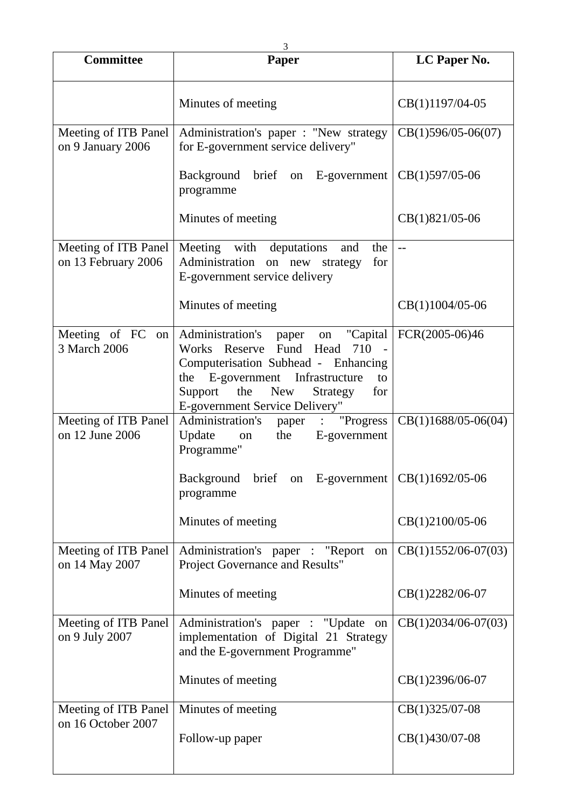|                                             | 3                                                                                                                                                                                                                                                  |                       |
|---------------------------------------------|----------------------------------------------------------------------------------------------------------------------------------------------------------------------------------------------------------------------------------------------------|-----------------------|
| <b>Committee</b>                            | Paper                                                                                                                                                                                                                                              | LC Paper No.          |
|                                             | Minutes of meeting                                                                                                                                                                                                                                 | CB(1)1197/04-05       |
| Meeting of ITB Panel<br>on 9 January 2006   | Administration's paper : "New strategy  <br>for E-government service delivery"                                                                                                                                                                     | $CB(1)596/05-06(07)$  |
|                                             | Background brief on E-government<br>programme                                                                                                                                                                                                      | $CB(1)597/05-06$      |
|                                             | Minutes of meeting                                                                                                                                                                                                                                 | CB(1)821/05-06        |
| Meeting of ITB Panel<br>on 13 February 2006 | Meeting with deputations<br>and<br>the<br>Administration on new<br>for<br>strategy<br>E-government service delivery                                                                                                                                | $-$                   |
|                                             | Minutes of meeting                                                                                                                                                                                                                                 | CB(1)1004/05-06       |
| Meeting of FC<br>on<br>3 March 2006         | Administration's<br>"Capital<br>paper<br>on<br>Works Reserve Fund Head<br>710<br>Computerisation Subhead - Enhancing<br>the E-government Infrastructure<br>to<br>Support<br>the<br><b>New</b><br>Strategy<br>for<br>E-government Service Delivery" | FCR(2005-06)46        |
| Meeting of ITB Panel<br>on 12 June 2006     | Administration's<br>"Progress<br>paper :<br>Update<br>the<br>E-government<br>on<br>Programme"                                                                                                                                                      | $CB(1)1688/05-06(04)$ |
|                                             | Background brief on E-government<br>programme                                                                                                                                                                                                      | CB(1)1692/05-06       |
|                                             | Minutes of meeting                                                                                                                                                                                                                                 | CB(1)2100/05-06       |
| Meeting of ITB Panel<br>on 14 May 2007      | Administration's paper : "Report<br>on  <br>Project Governance and Results"                                                                                                                                                                        | $CB(1)1552/06-07(03)$ |
|                                             | Minutes of meeting                                                                                                                                                                                                                                 | CB(1)2282/06-07       |
| Meeting of ITB Panel<br>on 9 July 2007      | Administration's paper : "Update on<br>implementation of Digital 21 Strategy<br>and the E-government Programme"                                                                                                                                    | $CB(1)2034/06-07(03)$ |
|                                             | Minutes of meeting                                                                                                                                                                                                                                 | CB(1)2396/06-07       |
| Meeting of ITB Panel<br>on 16 October 2007  | Minutes of meeting                                                                                                                                                                                                                                 | $CB(1)325/07-08$      |
|                                             | Follow-up paper                                                                                                                                                                                                                                    | CB(1)430/07-08        |
|                                             |                                                                                                                                                                                                                                                    |                       |